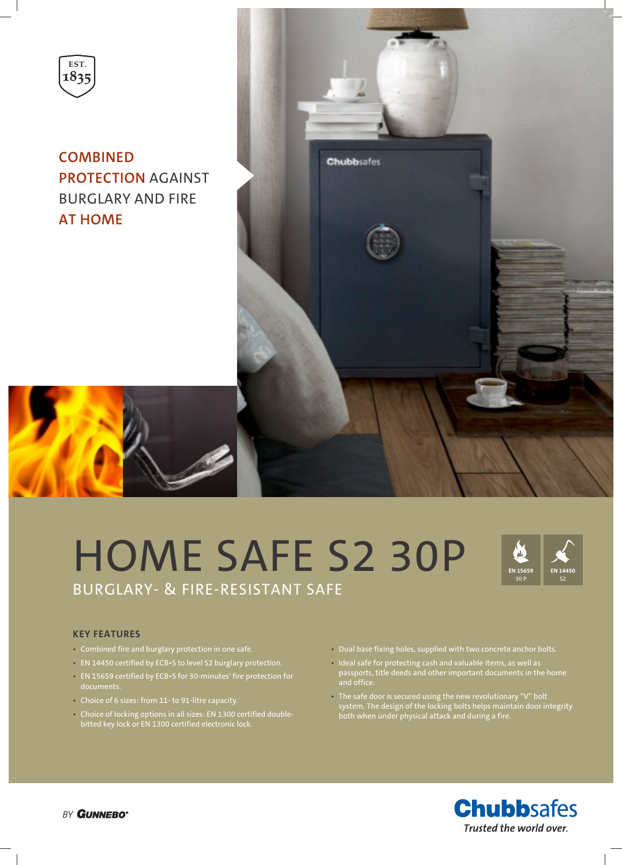

**COMBINED PROTECTION** AGAINST BURGLARY AND FIRE **AT HOME**



# HOME SAFE S2 30P BURGLARY- & FIRE-RESISTANT SAFE



# **KEY FEATURES**

- Combined fire and burglary protection in one safe.
- EN 14450 certified by ECB•S to level S2 burglary protection.
- EN 15659 certified by ECB•S for 30-minutes' fire protection for documents.
- Choice of 6 sizes: from 11- to 91-litre capacity.
- Choice of locking options in all sizes: EN 1300 certified doublebitted key lock or EN 1300 certified electronic lock.
- Dual base fixing holes, supplied with two concrete anchor bolts.
- Ideal safe for protecting cash and valuable items, as well as and office.
- The safe door is secured using the new revolutionary "V" bolt system. The design of the locking bolts helps maintain door integrity both when under physical attack and during a fire.